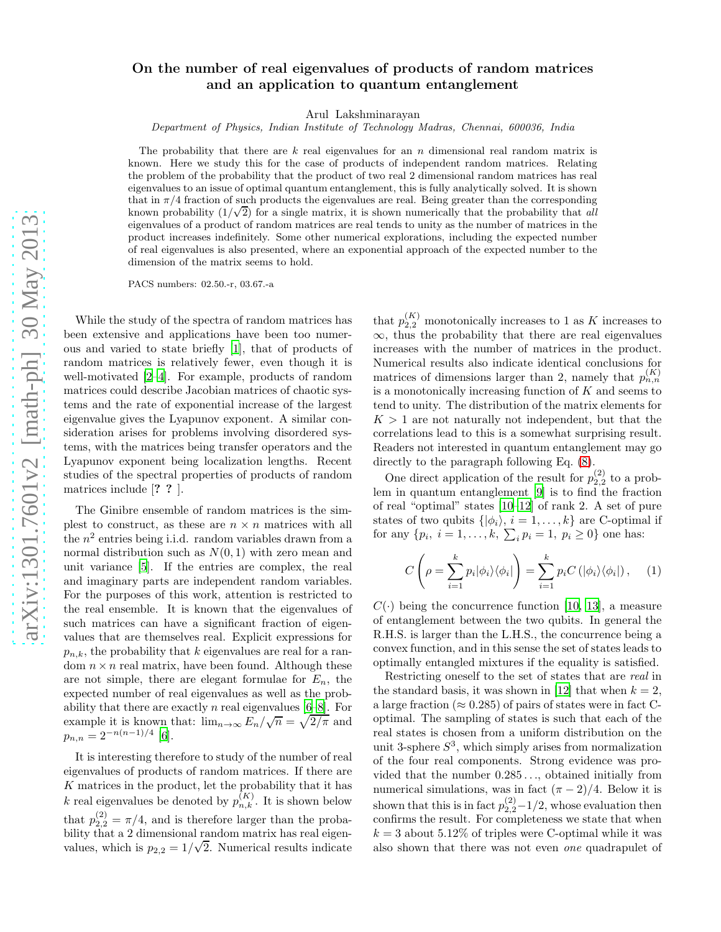## On the number of real eigenvalues of products of random matrices and an application to quantum entanglement

Arul Lakshminarayan

Department of Physics, Indian Institute of Technology Madras, Chennai, 600036, India

The probability that there are  $k$  real eigenvalues for an  $n$  dimensional real random matrix is known. Here we study this for the case of products of independent random matrices. Relating the problem of the probability that the product of two real 2 dimensional random matrices has real eigenvalues to an issue of optimal quantum entanglement, this is fully analytically solved. It is shown that in  $\pi/4$  fraction of such products the eigenvalues are real. Being greater than the corresponding known probability  $(1/\sqrt{2})$  for a single matrix, it is shown numerically that the probability that all eigenvalues of a product of random matrices are real tends to unity as the number of matrices in the product increases indefinitely. Some other numerical explorations, including the expected number of real eigenvalues is also presented, where an exponential approach of the expected number to the dimension of the matrix seems to hold.

PACS numbers: 02.50.-r, 03.67.-a

While the study of the spectra of random matrices has been extensive and applications have been too numerous and varied to state briefly [\[1\]](#page-4-0), that of products of random matrices is relatively fewer, even though it is well-motivated [\[2](#page-4-1)[–4](#page-4-2)]. For example, products of random matrices could describe Jacobian matrices of chaotic systems and the rate of exponential increase of the largest eigenvalue gives the Lyapunov exponent. A similar consideration arises for problems involving disordered systems, with the matrices being transfer operators and the Lyapunov exponent being localization lengths. Recent studies of the spectral properties of products of random matrices include [? ? ].

The Ginibre ensemble of random matrices is the simplest to construct, as these are  $n \times n$  matrices with all the n 2 entries being i.i.d. random variables drawn from a normal distribution such as  $N(0, 1)$  with zero mean and unit variance [\[5\]](#page-4-3). If the entries are complex, the real and imaginary parts are independent random variables. For the purposes of this work, attention is restricted to the real ensemble. It is known that the eigenvalues of such matrices can have a significant fraction of eigenvalues that are themselves real. Explicit expressions for  $p_{n,k}$ , the probability that k eigenvalues are real for a random  $n \times n$  real matrix, have been found. Although these are not simple, there are elegant formulae for  $E_n$ , the expected number of real eigenvalues as well as the probability that there are exactly n real eigenvalues  $[6-8]$ . For example it is known that:  $\lim_{n\to\infty} E_n/\sqrt{n} = \sqrt{2/\pi}$  and  $p_{n,n} = 2^{-n(n-1)/4}$  [\[6](#page-4-4)].

It is interesting therefore to study of the number of real eigenvalues of products of random matrices. If there are K matrices in the product, let the probability that it has k real eigenvalues be denoted by  $p_{n,k}^{(K)}$ . It is shown below that  $p_{2,2}^{(2)} = \pi/4$ , and is therefore larger than the probability that a 2 dimensional random matrix has real eigenvalues, which is  $p_{2,2} = 1/\sqrt{2}$ . Numerical results indicate

that  $p_{2,2}^{(K)}$  monotonically increases to 1 as K increases to  $\infty$ , thus the probability that there are real eigenvalues increases with the number of matrices in the product. Numerical results also indicate identical conclusions for matrices of dimensions larger than 2, namely that  $p_{n,n}^{(K)}$ is a monotonically increasing function of  $K$  and seems to tend to unity. The distribution of the matrix elements for  $K > 1$  are not naturally not independent, but that the correlations lead to this is a somewhat surprising result. Readers not interested in quantum entanglement may go directly to the paragraph following Eq. [\(8\)](#page-1-0).

One direct application of the result for  $p_{2,2}^{(2)}$  to a problem in quantum entanglement [\[9\]](#page-4-6) is to find the fraction of real "optimal" states [\[10](#page-4-7)[–12\]](#page-4-8) of rank 2. A set of pure states of two qubits  $\{|\phi_i\rangle, i = 1, \ldots, k\}$  are C-optimal if for any  $\{p_i, i = 1, ..., k, \sum_i p_i = 1, p_i \ge 0\}$  one has:

<span id="page-0-0"></span>
$$
C\left(\rho = \sum_{i=1}^{k} p_i |\phi_i\rangle\langle\phi_i| \right) = \sum_{i=1}^{k} p_i C\left(|\phi_i\rangle\langle\phi_i|\right), \quad (1)
$$

 $C(\cdot)$  being the concurrence function [\[10,](#page-4-7) [13](#page-4-9)], a measure of entanglement between the two qubits. In general the R.H.S. is larger than the L.H.S., the concurrence being a convex function, and in this sense the set of states leads to optimally entangled mixtures if the equality is satisfied.

Restricting oneself to the set of states that are real in the standard basis, it was shown in [\[12](#page-4-8)] that when  $k = 2$ , a large fraction ( $\approx 0.285$ ) of pairs of states were in fact Coptimal. The sampling of states is such that each of the real states is chosen from a uniform distribution on the unit 3-sphere  $S<sup>3</sup>$ , which simply arises from normalization of the four real components. Strong evidence was provided that the number 0.285 . . ., obtained initially from numerical simulations, was in fact  $(\pi - 2)/4$ . Below it is shown that this is in fact  $p_{2,2}^{(2)}$  – 1/2, whose evaluation then confirms the result. For completeness we state that when  $k = 3$  about 5.12% of triples were C-optimal while it was also shown that there was not even one quadrapulet of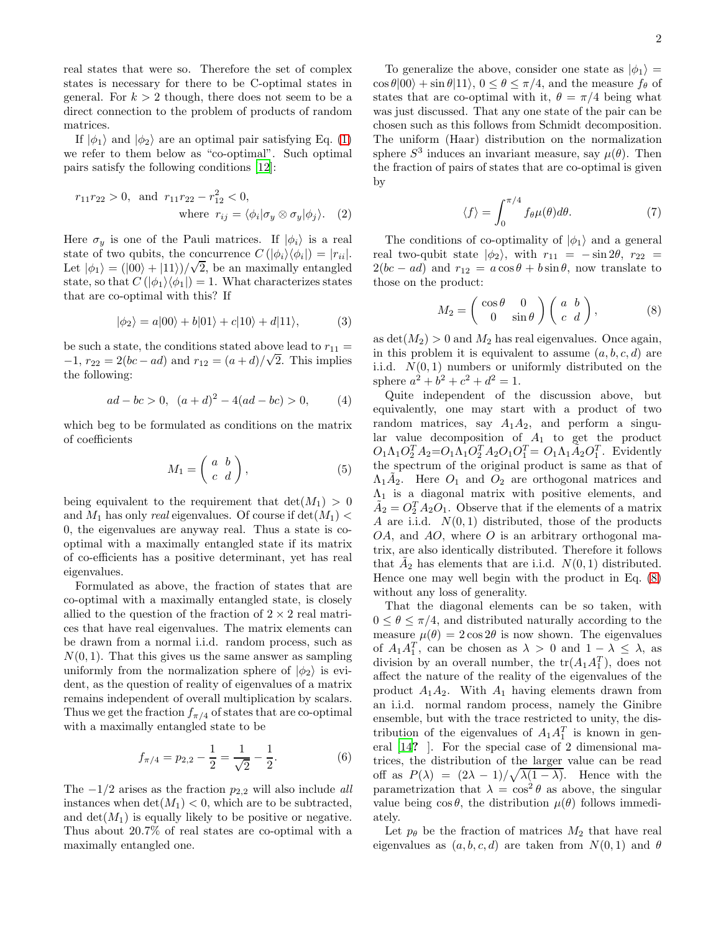real states that were so. Therefore the set of complex states is necessary for there to be C-optimal states in general. For  $k > 2$  though, there does not seem to be a direct connection to the problem of products of random matrices.

If  $|\phi_1\rangle$  and  $|\phi_2\rangle$  are an optimal pair satisfying Eq. [\(1\)](#page-0-0) we refer to them below as "co-optimal". Such optimal pairs satisfy the following conditions [\[12](#page-4-8)]:

$$
r_{11}r_{22} > 0
$$
, and  $r_{11}r_{22} - r_{12}^2 < 0$ ,  
where  $r_{ij} = \langle \phi_i | \sigma_y \otimes \sigma_y | \phi_j \rangle$ . (2)

Here  $\sigma_y$  is one of the Pauli matrices. If  $|\phi_i\rangle$  is a real state of two qubits, the concurrence  $C(\vert \phi_i \rangle \langle \phi_i \vert) = \vert r_{ii} \vert$ . Let  $|\phi_1\rangle = (|00\rangle + |11\rangle)/\sqrt{2}$ , be an maximally entangled state, so that  $C(\vert \phi_1 \rangle \langle \phi_1 \vert) = 1$ . What characterizes states that are co-optimal with this? If

$$
|\phi_2\rangle = a|00\rangle + b|01\rangle + c|10\rangle + d|11\rangle, \tag{3}
$$

be such a state, the conditions stated above lead to  $r_{11} =$  $-1, r_{22} = 2(bc - ad)$  and  $r_{12} = (a + d)/\sqrt{2}$ . This implies the following:

$$
ad - bc > 0, \ (a+d)^2 - 4(ad - bc) > 0,
$$
 (4)

which beg to be formulated as conditions on the matrix of coefficients

$$
M_1 = \left(\begin{array}{cc} a & b \\ c & d \end{array}\right),\tag{5}
$$

being equivalent to the requirement that  $\det(M_1) > 0$ and  $M_1$  has only real eigenvalues. Of course if  $\det(M_1)$  < 0, the eigenvalues are anyway real. Thus a state is cooptimal with a maximally entangled state if its matrix of co-efficients has a positive determinant, yet has real eigenvalues.

Formulated as above, the fraction of states that are co-optimal with a maximally entangled state, is closely allied to the question of the fraction of  $2 \times 2$  real matrices that have real eigenvalues. The matrix elements can be drawn from a normal i.i.d. random process, such as  $N(0, 1)$ . That this gives us the same answer as sampling uniformly from the normalization sphere of  $|\phi_2\rangle$  is evident, as the question of reality of eigenvalues of a matrix remains independent of overall multiplication by scalars. Thus we get the fraction  $f_{\pi/4}$  of states that are co-optimal with a maximally entangled state to be

$$
f_{\pi/4} = p_{2,2} - \frac{1}{2} = \frac{1}{\sqrt{2}} - \frac{1}{2}.
$$
 (6)

The  $-1/2$  arises as the fraction  $p_{2,2}$  will also include all instances when  $\det(M_1) < 0$ , which are to be subtracted, and  $\det(M_1)$  is equally likely to be positive or negative. Thus about 20.7% of real states are co-optimal with a maximally entangled one.

To generalize the above, consider one state as  $|\phi_1\rangle$  =  $\cos \theta |00\rangle + \sin \theta |11\rangle$ ,  $0 \le \theta \le \pi/4$ , and the measure  $f_{\theta}$  of states that are co-optimal with it,  $\theta = \pi/4$  being what was just discussed. That any one state of the pair can be chosen such as this follows from Schmidt decomposition. The uniform (Haar) distribution on the normalization sphere  $S^3$  induces an invariant measure, say  $\mu(\theta)$ . Then the fraction of pairs of states that are co-optimal is given by

<span id="page-1-1"></span>
$$
\langle f \rangle = \int_0^{\pi/4} f_{\theta} \mu(\theta) d\theta. \tag{7}
$$

The conditions of co-optimality of  $|\phi_1\rangle$  and a general real two-qubit state  $|\phi_2\rangle$ , with  $r_{11} = -\sin 2\theta$ ,  $r_{22} =$  $2(bc - ad)$  and  $r_{12} = a\cos\theta + b\sin\theta$ , now translate to those on the product:

<span id="page-1-0"></span>
$$
M_2 = \begin{pmatrix} \cos \theta & 0 \\ 0 & \sin \theta \end{pmatrix} \begin{pmatrix} a & b \\ c & d \end{pmatrix}, \tag{8}
$$

as  $\det(M_2) > 0$  and  $M_2$  has real eigenvalues. Once again, in this problem it is equivalent to assume  $(a, b, c, d)$  are i.i.d.  $N(0, 1)$  numbers or uniformly distributed on the sphere  $a^2 + b^2 + c^2 + d^2 = 1$ .

Quite independent of the discussion above, but equivalently, one may start with a product of two random matrices, say  $A_1A_2$ , and perform a singular value decomposition of  $A_1$  to get the product  $O_1 \Lambda_1 O_2^T A_2 = O_1 \Lambda_1 O_2^T A_2 O_1 O_1^T = O_1 \Lambda_1 \tilde{A}_2 O_1^T$ . Evidently the spectrum of the original product is same as that of  $\Lambda_1 \tilde{A}_2$ . Here  $O_1$  and  $O_2$  are orthogonal matrices and  $\Lambda_1$  is a diagonal matrix with positive elements, and  $\tilde{A}_2 = O_2^T A_2 O_1$ . Observe that if the elements of a matrix A are i.i.d.  $N(0, 1)$  distributed, those of the products OA, and AO, where O is an arbitrary orthogonal matrix, are also identically distributed. Therefore it follows that  $\tilde{A}_2$  has elements that are i.i.d.  $N(0, 1)$  distributed. Hence one may well begin with the product in Eq. [\(8\)](#page-1-0) without any loss of generality.

That the diagonal elements can be so taken, with  $0 \leq \theta \leq \pi/4$ , and distributed naturally according to the measure  $\mu(\theta) = 2 \cos 2\theta$  is now shown. The eigenvalues of  $A_1A_1^T$ , can be chosen as  $\lambda > 0$  and  $1 - \lambda \leq \lambda$ , as division by an overall number, the  $tr(A_1A_1^T)$ , does not affect the nature of the reality of the eigenvalues of the product  $A_1A_2$ . With  $A_1$  having elements drawn from an i.i.d. normal random process, namely the Ginibre ensemble, but with the trace restricted to unity, the distribution of the eigenvalues of  $A_1A_1^T$  is known in general [\[14](#page-4-10)? ]. For the special case of 2 dimensional matrices, the distribution of the larger value can be read off as  $P(\lambda) = (2\lambda - 1)/\sqrt{\lambda(1 - \lambda)}$ . Hence with the parametrization that  $\lambda = \cos^2 \theta$  as above, the singular value being  $\cos \theta$ , the distribution  $\mu(\theta)$  follows immediately.

Let  $p_{\theta}$  be the fraction of matrices  $M_2$  that have real eigenvalues as  $(a, b, c, d)$  are taken from  $N(0, 1)$  and  $\theta$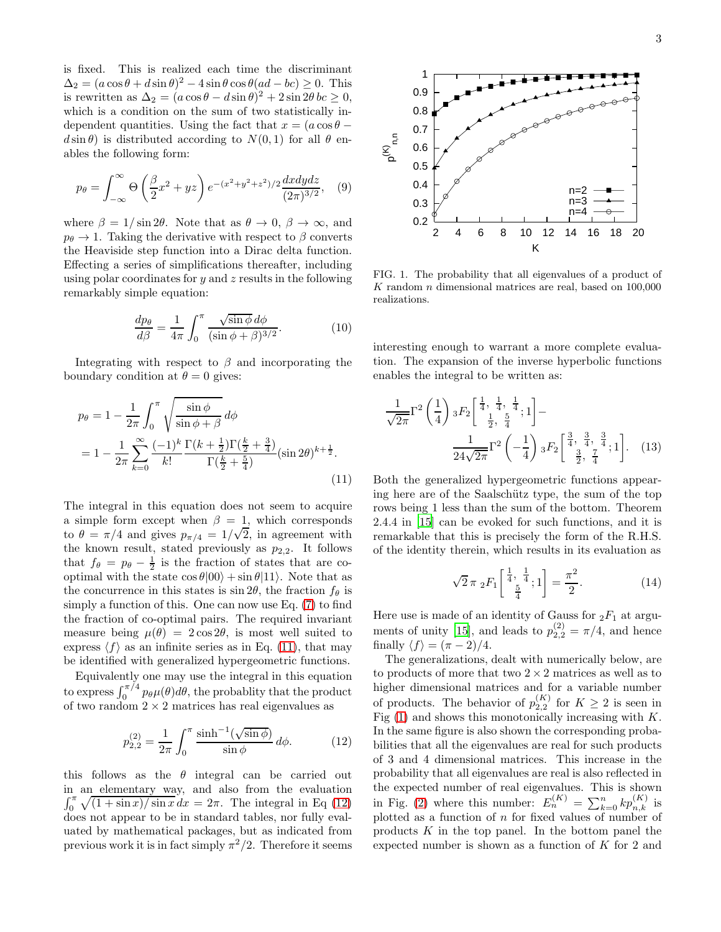is fixed. This is realized each time the discriminant  $\Delta_2 = (a \cos \theta + d \sin \theta)^2 - 4 \sin \theta \cos \theta (ad - bc) \ge 0.$  This is rewritten as  $\Delta_2 = (a \cos \theta - d \sin \theta)^2 + 2 \sin 2\theta$  bc  $\geq 0$ , which is a condition on the sum of two statistically independent quantities. Using the fact that  $x = (a \cos \theta$  $d \sin \theta$ ) is distributed according to  $N(0, 1)$  for all  $\theta$  enables the following form:

$$
p_{\theta} = \int_{-\infty}^{\infty} \Theta\left(\frac{\beta}{2}x^2 + yz\right) e^{-(x^2 + y^2 + z^2)/2} \frac{dxdydz}{(2\pi)^{3/2}}, \quad (9)
$$

where  $\beta = 1/\sin 2\theta$ . Note that as  $\theta \to 0$ ,  $\beta \to \infty$ , and  $p_{\theta} \rightarrow 1$ . Taking the derivative with respect to β converts the Heaviside step function into a Dirac delta function. Effecting a series of simplifications thereafter, including using polar coordinates for  $y$  and  $z$  results in the following remarkably simple equation:

$$
\frac{dp_{\theta}}{d\beta} = \frac{1}{4\pi} \int_0^{\pi} \frac{\sqrt{\sin\phi} \, d\phi}{(\sin\phi + \beta)^{3/2}}.
$$
 (10)

Integrating with respect to  $\beta$  and incorporating the boundary condition at  $\theta = 0$  gives:

<span id="page-2-0"></span>
$$
p_{\theta} = 1 - \frac{1}{2\pi} \int_0^{\pi} \sqrt{\frac{\sin \phi}{\sin \phi + \beta}} d\phi
$$
  
=  $1 - \frac{1}{2\pi} \sum_{k=0}^{\infty} \frac{(-1)^k}{k!} \frac{\Gamma(k + \frac{1}{2})\Gamma(\frac{k}{2} + \frac{3}{4})}{\Gamma(\frac{k}{2} + \frac{5}{4})} (\sin 2\theta)^{k + \frac{1}{2}}.$  (11)

The integral in this equation does not seem to acquire a simple form except when  $\beta = 1$ , which corresponds to  $\theta = \pi/4$  and gives  $p_{\pi/4} = 1/\sqrt{2}$ , in agreement with the known result, stated previously as  $p_{2,2}$ . It follows that  $f_{\theta} = p_{\theta} - \frac{1}{2}$  is the fraction of states that are cooptimal with the state  $\cos \theta |00\rangle + \sin \theta |11\rangle$ . Note that as the concurrence in this states is  $\sin 2\theta$ , the fraction  $f_{\theta}$  is simply a function of this. One can now use Eq. [\(7\)](#page-1-1) to find the fraction of co-optimal pairs. The required invariant measure being  $\mu(\theta) = 2 \cos 2\theta$ , is most well suited to express  $\langle f \rangle$  as an infinite series as in Eq. [\(11\)](#page-2-0), that may be identified with generalized hypergeometric functions.

Equivalently one may use the integral in this equation to express  $\int_0^{\pi/4} p_\theta \mu(\theta) d\theta$ , the probablity that the product of two random  $2 \times 2$  matrices has real eigenvalues as

<span id="page-2-1"></span>
$$
p_{2,2}^{(2)} = \frac{1}{2\pi} \int_0^\pi \frac{\sinh^{-1}(\sqrt{\sin \phi})}{\sin \phi} d\phi.
$$
 (12)

this follows as the  $\theta$  integral can be carried out in an elementary way, and also from the evaluation  $\int_0^{\pi} \sqrt{\left(1 + \sin x\right) / \sin x} \, dx = 2\pi$ . The integral in Eq [\(12\)](#page-2-1) does not appear to be in standard tables, nor fully evaluated by mathematical packages, but as indicated from previous work it is in fact simply  $\pi^2/2$ . Therefore it seems



<span id="page-2-2"></span>FIG. 1. The probability that all eigenvalues of a product of  $K$  random  $n$  dimensional matrices are real, based on  $100,000$ realizations.

interesting enough to warrant a more complete evaluation. The expansion of the inverse hyperbolic functions enables the integral to be written as:

$$
\frac{1}{\sqrt{2\pi}}\Gamma^2\left(\frac{1}{4}\right) {}_3F_2\left[\frac{\frac{1}{4}, \frac{1}{4}, \frac{1}{4}}{\frac{1}{2}, \frac{5}{4}}; 1\right] - \frac{1}{24\sqrt{2\pi}}\Gamma^2\left(-\frac{1}{4}\right) {}_3F_2\left[\frac{\frac{3}{4}, \frac{3}{4}, \frac{3}{4}}{\frac{3}{2}, \frac{7}{4}}; 1\right].
$$
 (13)

Both the generalized hypergeometric functions appearing here are of the Saalschütz type, the sum of the top rows being 1 less than the sum of the bottom. Theorem 2.4.4 in [\[15](#page-4-11)] can be evoked for such functions, and it is remarkable that this is precisely the form of the R.H.S. of the identity therein, which results in its evaluation as

$$
\sqrt{2}\pi \, _2F_1\left[\frac{\frac{1}{4},\frac{1}{4}}{\frac{5}{4}};1\right] = \frac{\pi^2}{2}.\tag{14}
$$

Here use is made of an identity of Gauss for  ${}_2F_1$  at argu-ments of unity [\[15\]](#page-4-11), and leads to  $p_{2,2}^{(2)} = \pi/4$ , and hence finally  $\langle f \rangle = (\pi - 2)/4$ .

The generalizations, dealt with numerically below, are to products of more that two  $2 \times 2$  matrices as well as to higher dimensional matrices and for a variable number of products. The behavior of  $p_{2,2}^{(K)}$  for  $K \geq 2$  is seen in Fig  $(1)$  and shows this monotonically increasing with K. In the same figure is also shown the corresponding probabilities that all the eigenvalues are real for such products of 3 and 4 dimensional matrices. This increase in the probability that all eigenvalues are real is also reflected in the expected number of real eigenvalues. This is shown in Fig. [\(2\)](#page-3-0) where this number:  $E_n^{(K)} = \sum_{k=0}^n k p_{n,k}^{(K)}$  is plotted as a function of  $n$  for fixed values of number of products  $K$  in the top panel. In the bottom panel the expected number is shown as a function of  $K$  for 2 and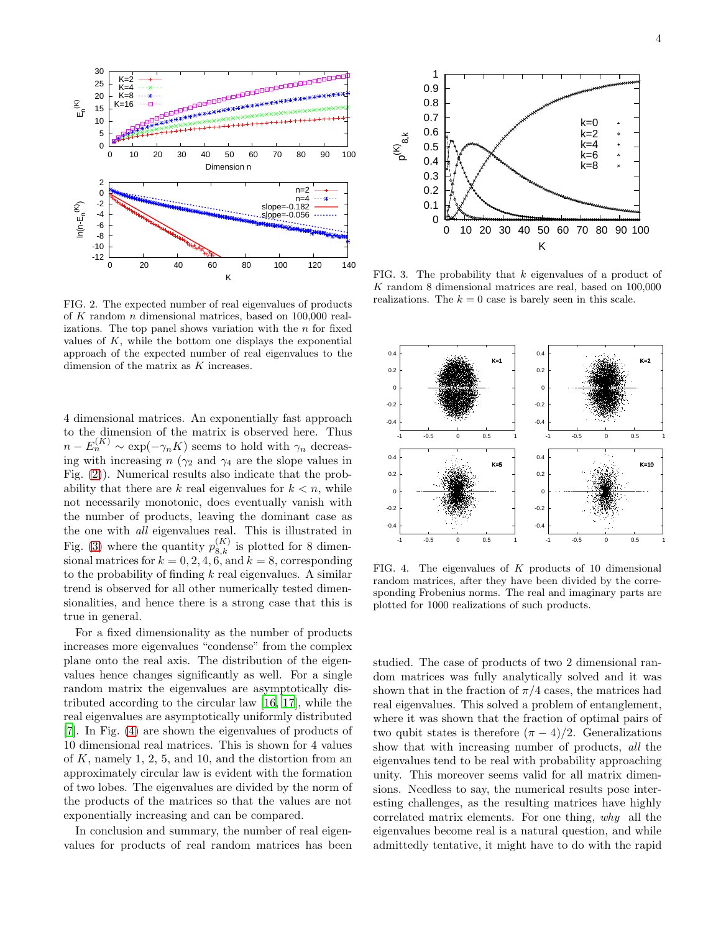

<span id="page-3-0"></span>FIG. 2. The expected number of real eigenvalues of products of K random n dimensional matrices, based on 100,000 realizations. The top panel shows variation with the  $n$  for fixed values of  $K$ , while the bottom one displays the exponential approach of the expected number of real eigenvalues to the dimension of the matrix as K increases.

4 dimensional matrices. An exponentially fast approach to the dimension of the matrix is observed here. Thus  $n - E_n^{(K)} \sim \exp(-\gamma_n K)$  seems to hold with  $\gamma_n$  decreasing with increasing  $n (\gamma_2 \text{ and } \gamma_4 \text{ are the slope values in})$ Fig. [\(2\)](#page-3-0)). Numerical results also indicate that the probability that there are k real eigenvalues for  $k < n$ , while not necessarily monotonic, does eventually vanish with the number of products, leaving the dominant case as the one with all eigenvalues real. This is illustrated in Fig. [\(3\)](#page-3-1) where the quantity  $p_{8,k}^{(K)}$  is plotted for 8 dimensional matrices for  $k = 0, 2, 4, 6$ , and  $k = 8$ , corresponding to the probability of finding  $k$  real eigenvalues. A similar trend is observed for all other numerically tested dimensionalities, and hence there is a strong case that this is true in general.

For a fixed dimensionality as the number of products increases more eigenvalues "condense" from the complex plane onto the real axis. The distribution of the eigenvalues hence changes significantly as well. For a single random matrix the eigenvalues are asymptotically distributed according to the circular law [\[16](#page-4-12), [17](#page-4-13)], while the real eigenvalues are asymptotically uniformly distributed [\[7\]](#page-4-14). In Fig. [\(4\)](#page-3-2) are shown the eigenvalues of products of 10 dimensional real matrices. This is shown for 4 values of  $K$ , namely 1, 2, 5, and 10, and the distortion from an approximately circular law is evident with the formation of two lobes. The eigenvalues are divided by the norm of the products of the matrices so that the values are not exponentially increasing and can be compared.

In conclusion and summary, the number of real eigenvalues for products of real random matrices has been



<span id="page-3-1"></span>FIG. 3. The probability that  $k$  eigenvalues of a product of K random 8 dimensional matrices are real, based on 100,000 realizations. The  $k = 0$  case is barely seen in this scale.



<span id="page-3-2"></span>FIG. 4. The eigenvalues of  $K$  products of 10 dimensional random matrices, after they have been divided by the corresponding Frobenius norms. The real and imaginary parts are plotted for 1000 realizations of such products.

studied. The case of products of two 2 dimensional random matrices was fully analytically solved and it was shown that in the fraction of  $\pi/4$  cases, the matrices had real eigenvalues. This solved a problem of entanglement, where it was shown that the fraction of optimal pairs of two qubit states is therefore  $(\pi - 4)/2$ . Generalizations show that with increasing number of products, all the eigenvalues tend to be real with probability approaching unity. This moreover seems valid for all matrix dimensions. Needless to say, the numerical results pose interesting challenges, as the resulting matrices have highly correlated matrix elements. For one thing, why all the eigenvalues become real is a natural question, and while admittedly tentative, it might have to do with the rapid